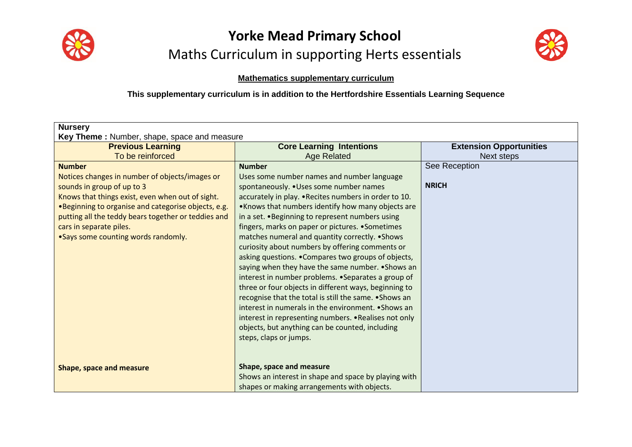



#### **Mathematics supplementary curriculum**

#### **This supplementary curriculum is in addition to the Hertfordshire Essentials Learning Sequence**

| <b>Nursery</b><br>Key Theme: Number, shape, space and measure                                                                                                                                                                                                                                                                      |                                                                                                                                                                                                                                                                                                                                                                                                                                                                                                                                                                                                                                                                                                                                                                                                                                                                                                                        |                                              |  |  |
|------------------------------------------------------------------------------------------------------------------------------------------------------------------------------------------------------------------------------------------------------------------------------------------------------------------------------------|------------------------------------------------------------------------------------------------------------------------------------------------------------------------------------------------------------------------------------------------------------------------------------------------------------------------------------------------------------------------------------------------------------------------------------------------------------------------------------------------------------------------------------------------------------------------------------------------------------------------------------------------------------------------------------------------------------------------------------------------------------------------------------------------------------------------------------------------------------------------------------------------------------------------|----------------------------------------------|--|--|
| <b>Previous Learning</b><br>To be reinforced                                                                                                                                                                                                                                                                                       | <b>Core Learning Intentions</b><br><b>Age Related</b>                                                                                                                                                                                                                                                                                                                                                                                                                                                                                                                                                                                                                                                                                                                                                                                                                                                                  | <b>Extension Opportunities</b><br>Next steps |  |  |
| <b>Number</b><br>Notices changes in number of objects/images or<br>sounds in group of up to 3<br>Knows that things exist, even when out of sight.<br>.Beginning to organise and categorise objects, e.g.<br>putting all the teddy bears together or teddies and<br>cars in separate piles.<br>• Says some counting words randomly. | <b>Number</b><br>Uses some number names and number language<br>spontaneously. . Uses some number names<br>accurately in play. . Recites numbers in order to 10.<br>. Knows that numbers identify how many objects are<br>in a set. . Beginning to represent numbers using<br>fingers, marks on paper or pictures. • Sometimes<br>matches numeral and quantity correctly. • Shows<br>curiosity about numbers by offering comments or<br>asking questions. . Compares two groups of objects,<br>saying when they have the same number. • Shows an<br>interest in number problems. • Separates a group of<br>three or four objects in different ways, beginning to<br>recognise that the total is still the same. • Shows an<br>interest in numerals in the environment. • Shows an<br>interest in representing numbers. . Realises not only<br>objects, but anything can be counted, including<br>steps, claps or jumps. | See Reception<br><b>NRICH</b>                |  |  |
| Shape, space and measure                                                                                                                                                                                                                                                                                                           | Shape, space and measure<br>Shows an interest in shape and space by playing with<br>shapes or making arrangements with objects.                                                                                                                                                                                                                                                                                                                                                                                                                                                                                                                                                                                                                                                                                                                                                                                        |                                              |  |  |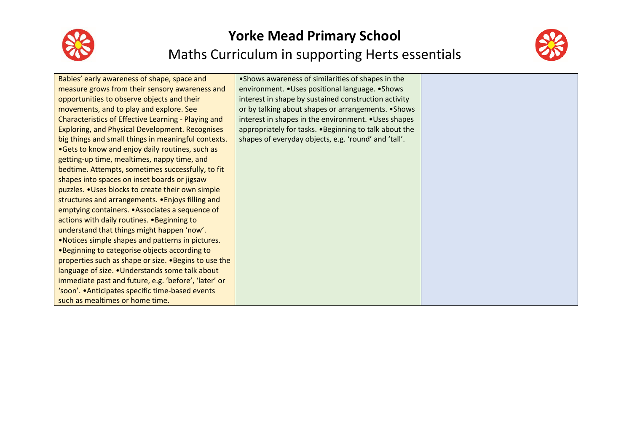



| Babies' early awareness of shape, space and            | • Shows awareness of similarities of shapes in the     |  |
|--------------------------------------------------------|--------------------------------------------------------|--|
| measure grows from their sensory awareness and         | environment. . Uses positional language. . Shows       |  |
| opportunities to observe objects and their             | interest in shape by sustained construction activity   |  |
| movements, and to play and explore. See                | or by talking about shapes or arrangements. • Shows    |  |
| Characteristics of Effective Learning - Playing and    | interest in shapes in the environment. • Uses shapes   |  |
| <b>Exploring, and Physical Development. Recognises</b> | appropriately for tasks. . Beginning to talk about the |  |
| big things and small things in meaningful contexts.    | shapes of everyday objects, e.g. 'round' and 'tall'.   |  |
| •Gets to know and enjoy daily routines, such as        |                                                        |  |
| getting-up time, mealtimes, nappy time, and            |                                                        |  |
| bedtime. Attempts, sometimes successfully, to fit      |                                                        |  |
| shapes into spaces on inset boards or jigsaw           |                                                        |  |
| puzzles. . Uses blocks to create their own simple      |                                                        |  |
| structures and arrangements. . Enjoys filling and      |                                                        |  |
| emptying containers. • Associates a sequence of        |                                                        |  |
| actions with daily routines. . Beginning to            |                                                        |  |
| understand that things might happen 'now'.             |                                                        |  |
| . Notices simple shapes and patterns in pictures.      |                                                        |  |
| .Beginning to categorise objects according to          |                                                        |  |
| properties such as shape or size. • Begins to use the  |                                                        |  |
| language of size. . Understands some talk about        |                                                        |  |
| immediate past and future, e.g. 'before', 'later' or   |                                                        |  |
| 'soon'. . Anticipates specific time-based events       |                                                        |  |
| such as mealtimes or home time.                        |                                                        |  |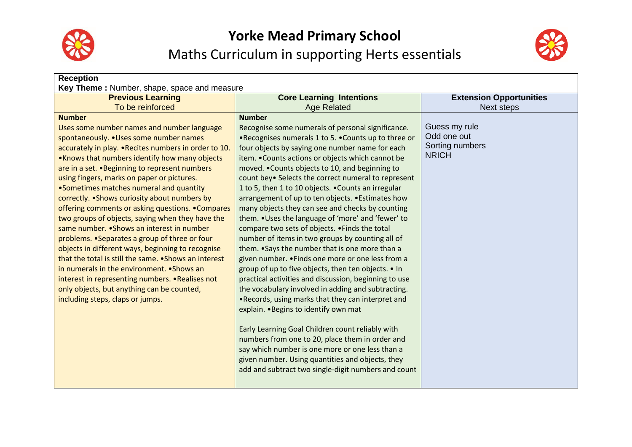



| <b>Reception</b><br>Key Theme: Number, shape, space and measure                                                                                                                                                                                                                                                                                                                                                                                                                                                                                                                                                                                                                                                                                                                                                                                                                                                          |                                                                                                                                                                                                                                                                                                                                                                                                                                                                                                                                                                                                                                                                                                                                                                                                                                                                                                                                                                                                                                                                                                                                                                                                                                                                                                                            |                                                                 |  |  |
|--------------------------------------------------------------------------------------------------------------------------------------------------------------------------------------------------------------------------------------------------------------------------------------------------------------------------------------------------------------------------------------------------------------------------------------------------------------------------------------------------------------------------------------------------------------------------------------------------------------------------------------------------------------------------------------------------------------------------------------------------------------------------------------------------------------------------------------------------------------------------------------------------------------------------|----------------------------------------------------------------------------------------------------------------------------------------------------------------------------------------------------------------------------------------------------------------------------------------------------------------------------------------------------------------------------------------------------------------------------------------------------------------------------------------------------------------------------------------------------------------------------------------------------------------------------------------------------------------------------------------------------------------------------------------------------------------------------------------------------------------------------------------------------------------------------------------------------------------------------------------------------------------------------------------------------------------------------------------------------------------------------------------------------------------------------------------------------------------------------------------------------------------------------------------------------------------------------------------------------------------------------|-----------------------------------------------------------------|--|--|
| <b>Previous Learning</b>                                                                                                                                                                                                                                                                                                                                                                                                                                                                                                                                                                                                                                                                                                                                                                                                                                                                                                 | <b>Core Learning Intentions</b>                                                                                                                                                                                                                                                                                                                                                                                                                                                                                                                                                                                                                                                                                                                                                                                                                                                                                                                                                                                                                                                                                                                                                                                                                                                                                            | <b>Extension Opportunities</b>                                  |  |  |
| To be reinforced                                                                                                                                                                                                                                                                                                                                                                                                                                                                                                                                                                                                                                                                                                                                                                                                                                                                                                         | <b>Age Related</b>                                                                                                                                                                                                                                                                                                                                                                                                                                                                                                                                                                                                                                                                                                                                                                                                                                                                                                                                                                                                                                                                                                                                                                                                                                                                                                         | Next steps                                                      |  |  |
| <b>Number</b><br>Uses some number names and number language<br>spontaneously. . Uses some number names<br>accurately in play. . Recites numbers in order to 10.<br>. Knows that numbers identify how many objects<br>are in a set. . Beginning to represent numbers<br>using fingers, marks on paper or pictures.<br>•Sometimes matches numeral and quantity<br>correctly. . Shows curiosity about numbers by<br>offering comments or asking questions. . Compares<br>two groups of objects, saying when they have the<br>same number. • Shows an interest in number<br>problems. • Separates a group of three or four<br>objects in different ways, beginning to recognise<br>that the total is still the same. • Shows an interest<br>in numerals in the environment. • Shows an<br>interest in representing numbers. . Realises not<br>only objects, but anything can be counted,<br>including steps, claps or jumps. | <b>Number</b><br>Recognise some numerals of personal significance.<br>.Recognises numerals 1 to 5. . Counts up to three or<br>four objects by saying one number name for each<br>item. . Counts actions or objects which cannot be<br>moved. . Counts objects to 10, and beginning to<br>count bey• Selects the correct numeral to represent<br>1 to 5, then 1 to 10 objects. . Counts an irregular<br>arrangement of up to ten objects. . Estimates how<br>many objects they can see and checks by counting<br>them. . Uses the language of 'more' and 'fewer' to<br>compare two sets of objects. . Finds the total<br>number of items in two groups by counting all of<br>them. . Says the number that is one more than a<br>given number. . Finds one more or one less from a<br>group of up to five objects, then ten objects. • In<br>practical activities and discussion, beginning to use<br>the vocabulary involved in adding and subtracting.<br>. Records, using marks that they can interpret and<br>explain. . Begins to identify own mat<br>Early Learning Goal Children count reliably with<br>numbers from one to 20, place them in order and<br>say which number is one more or one less than a<br>given number. Using quantities and objects, they<br>add and subtract two single-digit numbers and count | Guess my rule<br>Odd one out<br>Sorting numbers<br><b>NRICH</b> |  |  |
|                                                                                                                                                                                                                                                                                                                                                                                                                                                                                                                                                                                                                                                                                                                                                                                                                                                                                                                          |                                                                                                                                                                                                                                                                                                                                                                                                                                                                                                                                                                                                                                                                                                                                                                                                                                                                                                                                                                                                                                                                                                                                                                                                                                                                                                                            |                                                                 |  |  |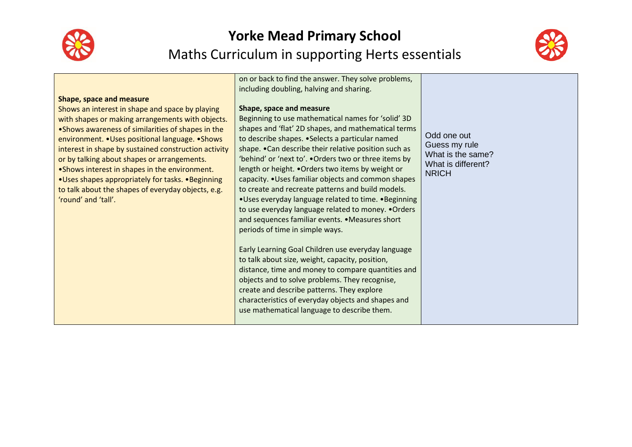



| <b>Shape, space and measure</b><br>Shows an interest in shape and space by playing<br>with shapes or making arrangements with objects.<br>.Shows awareness of similarities of shapes in the<br>environment. . Uses positional language. . Shows<br>interest in shape by sustained construction activity<br>or by talking about shapes or arrangements.<br>• Shows interest in shapes in the environment.<br>•Uses shapes appropriately for tasks. •Beginning<br>to talk about the shapes of everyday objects, e.g.<br>'round' and 'tall'. | on or back to find the answer. They solve problems,<br>including doubling, halving and sharing.<br>Shape, space and measure<br>Beginning to use mathematical names for 'solid' 3D<br>shapes and 'flat' 2D shapes, and mathematical terms<br>to describe shapes. • Selects a particular named<br>shape. . Can describe their relative position such as<br>'behind' or 'next to'. . Orders two or three items by<br>length or height. . Orders two items by weight or<br>capacity. • Uses familiar objects and common shapes<br>to create and recreate patterns and build models.<br>• Uses everyday language related to time. • Beginning<br>to use everyday language related to money. . Orders<br>and sequences familiar events. . Measures short<br>periods of time in simple ways.<br>Early Learning Goal Children use everyday language<br>to talk about size, weight, capacity, position,<br>distance, time and money to compare quantities and<br>objects and to solve problems. They recognise,<br>create and describe patterns. They explore<br>characteristics of everyday objects and shapes and<br>use mathematical language to describe them. | Odd one out<br>Guess my rule<br>What is the same?<br>What is different?<br><b>NRICH</b> |
|-------------------------------------------------------------------------------------------------------------------------------------------------------------------------------------------------------------------------------------------------------------------------------------------------------------------------------------------------------------------------------------------------------------------------------------------------------------------------------------------------------------------------------------------|-----------------------------------------------------------------------------------------------------------------------------------------------------------------------------------------------------------------------------------------------------------------------------------------------------------------------------------------------------------------------------------------------------------------------------------------------------------------------------------------------------------------------------------------------------------------------------------------------------------------------------------------------------------------------------------------------------------------------------------------------------------------------------------------------------------------------------------------------------------------------------------------------------------------------------------------------------------------------------------------------------------------------------------------------------------------------------------------------------------------------------------------------------------|-----------------------------------------------------------------------------------------|
|-------------------------------------------------------------------------------------------------------------------------------------------------------------------------------------------------------------------------------------------------------------------------------------------------------------------------------------------------------------------------------------------------------------------------------------------------------------------------------------------------------------------------------------------|-----------------------------------------------------------------------------------------------------------------------------------------------------------------------------------------------------------------------------------------------------------------------------------------------------------------------------------------------------------------------------------------------------------------------------------------------------------------------------------------------------------------------------------------------------------------------------------------------------------------------------------------------------------------------------------------------------------------------------------------------------------------------------------------------------------------------------------------------------------------------------------------------------------------------------------------------------------------------------------------------------------------------------------------------------------------------------------------------------------------------------------------------------------|-----------------------------------------------------------------------------------------|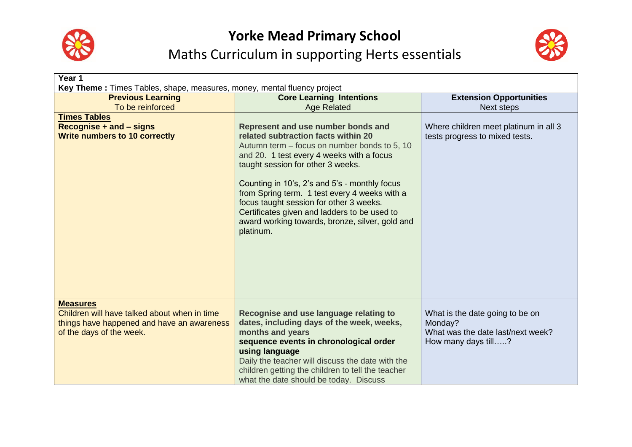



| Year 1                                                                                                                                                                          |                                                                                                                                                                                                                                                                                                                                                                                                                                                                          |                                                                                                        |  |
|---------------------------------------------------------------------------------------------------------------------------------------------------------------------------------|--------------------------------------------------------------------------------------------------------------------------------------------------------------------------------------------------------------------------------------------------------------------------------------------------------------------------------------------------------------------------------------------------------------------------------------------------------------------------|--------------------------------------------------------------------------------------------------------|--|
| <b>Key Theme:</b> Times Tables, shape, measures, money, mental fluency project<br><b>Previous Learning</b><br><b>Core Learning Intentions</b><br><b>Extension Opportunities</b> |                                                                                                                                                                                                                                                                                                                                                                                                                                                                          |                                                                                                        |  |
| To be reinforced                                                                                                                                                                | <b>Age Related</b>                                                                                                                                                                                                                                                                                                                                                                                                                                                       | Next steps                                                                                             |  |
| <b>Times Tables</b><br>Recognise $+$ and $-$ signs<br><b>Write numbers to 10 correctly</b>                                                                                      | Represent and use number bonds and<br>related subtraction facts within 20<br>Autumn term – focus on number bonds to 5, 10<br>and 20. 1 test every 4 weeks with a focus<br>taught session for other 3 weeks.<br>Counting in 10's, 2's and 5's - monthly focus<br>from Spring term. 1 test every 4 weeks with a<br>focus taught session for other 3 weeks.<br>Certificates given and ladders to be used to<br>award working towards, bronze, silver, gold and<br>platinum. | Where children meet platinum in all 3<br>tests progress to mixed tests.                                |  |
| <b>Measures</b><br>Children will have talked about when in time<br>things have happened and have an awareness<br>of the days of the week.                                       | Recognise and use language relating to<br>dates, including days of the week, weeks,<br>months and years<br>sequence events in chronological order<br>using language<br>Daily the teacher will discuss the date with the<br>children getting the children to tell the teacher<br>what the date should be today. Discuss                                                                                                                                                   | What is the date going to be on<br>Monday?<br>What was the date last/next week?<br>How many days till? |  |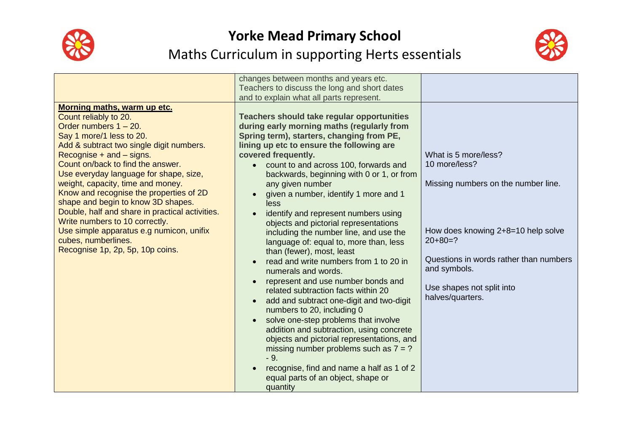



|                                                                 | changes between months and years etc.<br>Teachers to discuss the long and short dates |                                                 |
|-----------------------------------------------------------------|---------------------------------------------------------------------------------------|-------------------------------------------------|
|                                                                 | and to explain what all parts represent.                                              |                                                 |
| Morning maths, warm up etc.                                     |                                                                                       |                                                 |
| Count reliably to 20.                                           | <b>Teachers should take regular opportunities</b>                                     |                                                 |
| Order numbers 1 - 20.                                           | during early morning maths (regularly from                                            |                                                 |
| Say 1 more/1 less to 20.                                        | Spring term), starters, changing from PE,                                             |                                                 |
| Add & subtract two single digit numbers.                        | lining up etc to ensure the following are                                             |                                                 |
| Recognise $+$ and $-$ signs.                                    | covered frequently.                                                                   | What is 5 more/less?                            |
| Count on/back to find the answer.                               | count to and across 100, forwards and<br>$\bullet$                                    | 10 more/less?                                   |
| Use everyday language for shape, size,                          | backwards, beginning with 0 or 1, or from                                             |                                                 |
| weight, capacity, time and money.                               | any given number                                                                      | Missing numbers on the number line.             |
| Know and recognise the properties of 2D                         | given a number, identify 1 more and 1<br>$\bullet$                                    |                                                 |
| shape and begin to know 3D shapes.                              | less                                                                                  |                                                 |
| Double, half and share in practical activities.                 | identify and represent numbers using<br>$\bullet$                                     |                                                 |
| Write numbers to 10 correctly.                                  | objects and pictorial representations                                                 |                                                 |
| Use simple apparatus e.g numicon, unifix<br>cubes, numberlines. | including the number line, and use the                                                | How does knowing 2+8=10 help solve<br>$20+80=?$ |
| Recognise 1p, 2p, 5p, 10p coins.                                | language of: equal to, more than, less                                                |                                                 |
|                                                                 | than (fewer), most, least                                                             | Questions in words rather than numbers          |
|                                                                 | read and write numbers from 1 to 20 in<br>$\bullet$<br>numerals and words.            | and symbols.                                    |
|                                                                 | represent and use number bonds and<br>$\bullet$                                       |                                                 |
|                                                                 | related subtraction facts within 20                                                   | Use shapes not split into                       |
|                                                                 | add and subtract one-digit and two-digit<br>$\bullet$                                 | halves/quarters.                                |
|                                                                 | numbers to 20, including 0                                                            |                                                 |
|                                                                 | solve one-step problems that involve                                                  |                                                 |
|                                                                 | addition and subtraction, using concrete                                              |                                                 |
|                                                                 | objects and pictorial representations, and                                            |                                                 |
|                                                                 | missing number problems such as $7 = ?$                                               |                                                 |
|                                                                 | $-9.$                                                                                 |                                                 |
|                                                                 | recognise, find and name a half as 1 of 2                                             |                                                 |
|                                                                 | equal parts of an object, shape or                                                    |                                                 |
|                                                                 | quantity                                                                              |                                                 |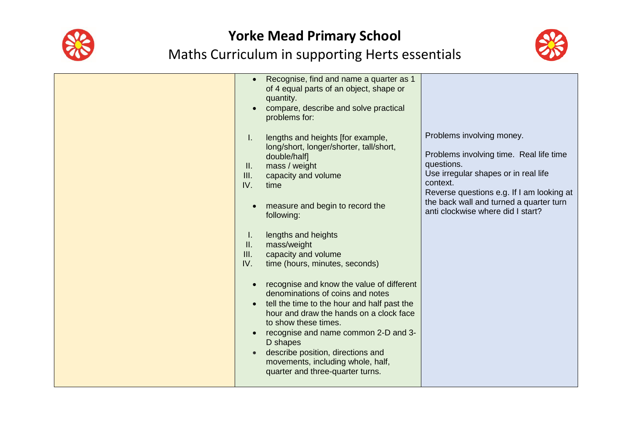



| Recognise, find and name a quarter as 1<br>$\bullet$<br>of 4 equal parts of an object, shape or<br>quantity.<br>compare, describe and solve practical<br>problems for:<br>lengths and heights [for example,<br>I.<br>long/short, longer/shorter, tall/short,<br>double/half]<br>mass / weight<br>$\mathbf{II}$ .<br>III.<br>capacity and volume<br>IV.<br>time<br>measure and begin to record the<br>following:<br>lengths and heights<br>Ι.<br>$\mathbf{II}$ .<br>mass/weight<br>III.<br>capacity and volume<br>IV.<br>time (hours, minutes, seconds)<br>recognise and know the value of different<br>denominations of coins and notes<br>tell the time to the hour and half past the<br>hour and draw the hands on a clock face<br>to show these times.<br>recognise and name common 2-D and 3-<br>D shapes<br>describe position, directions and<br>movements, including whole, half,<br>quarter and three-quarter turns. | Problems involving money.<br>Problems involving time. Real life time<br>questions.<br>Use irregular shapes or in real life<br>context.<br>Reverse questions e.g. If I am looking at<br>the back wall and turned a quarter turn<br>anti clockwise where did I start? |
|-----------------------------------------------------------------------------------------------------------------------------------------------------------------------------------------------------------------------------------------------------------------------------------------------------------------------------------------------------------------------------------------------------------------------------------------------------------------------------------------------------------------------------------------------------------------------------------------------------------------------------------------------------------------------------------------------------------------------------------------------------------------------------------------------------------------------------------------------------------------------------------------------------------------------------|---------------------------------------------------------------------------------------------------------------------------------------------------------------------------------------------------------------------------------------------------------------------|
|-----------------------------------------------------------------------------------------------------------------------------------------------------------------------------------------------------------------------------------------------------------------------------------------------------------------------------------------------------------------------------------------------------------------------------------------------------------------------------------------------------------------------------------------------------------------------------------------------------------------------------------------------------------------------------------------------------------------------------------------------------------------------------------------------------------------------------------------------------------------------------------------------------------------------------|---------------------------------------------------------------------------------------------------------------------------------------------------------------------------------------------------------------------------------------------------------------------|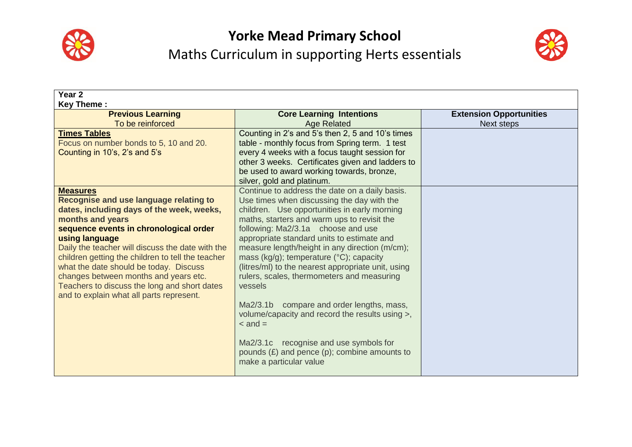



| Year 2                                                                                   |                                                       |                                |  |  |
|------------------------------------------------------------------------------------------|-------------------------------------------------------|--------------------------------|--|--|
| <b>Key Theme:</b><br><b>Previous Learning</b>                                            | <b>Core Learning Intentions</b>                       | <b>Extension Opportunities</b> |  |  |
| To be reinforced                                                                         | <b>Age Related</b>                                    | <b>Next steps</b>              |  |  |
| <b>Times Tables</b>                                                                      | Counting in 2's and 5's then 2, 5 and 10's times      |                                |  |  |
| Focus on number bonds to 5, 10 and 20.                                                   | table - monthly focus from Spring term. 1 test        |                                |  |  |
| Counting in 10's, 2's and 5's                                                            | every 4 weeks with a focus taught session for         |                                |  |  |
|                                                                                          | other 3 weeks. Certificates given and ladders to      |                                |  |  |
|                                                                                          | be used to award working towards, bronze,             |                                |  |  |
|                                                                                          | silver, gold and platinum.                            |                                |  |  |
| <b>Measures</b>                                                                          | Continue to address the date on a daily basis.        |                                |  |  |
| Recognise and use language relating to                                                   | Use times when discussing the day with the            |                                |  |  |
| dates, including days of the week, weeks,                                                | children. Use opportunities in early morning          |                                |  |  |
| months and years                                                                         | maths, starters and warm ups to revisit the           |                                |  |  |
| sequence events in chronological order                                                   | following: Ma2/3.1a choose and use                    |                                |  |  |
| using language                                                                           | appropriate standard units to estimate and            |                                |  |  |
| Daily the teacher will discuss the date with the                                         | measure length/height in any direction (m/cm);        |                                |  |  |
| children getting the children to tell the teacher                                        | mass (kg/g); temperature (°C); capacity               |                                |  |  |
| what the date should be today. Discuss                                                   | (litres/ml) to the nearest appropriate unit, using    |                                |  |  |
| changes between months and years etc.                                                    | rulers, scales, thermometers and measuring<br>vessels |                                |  |  |
| Teachers to discuss the long and short dates<br>and to explain what all parts represent. |                                                       |                                |  |  |
|                                                                                          | Ma2/3.1b compare and order lengths, mass,             |                                |  |  |
|                                                                                          | volume/capacity and record the results using >,       |                                |  |  |
|                                                                                          | $\alpha$ and $=$                                      |                                |  |  |
|                                                                                          |                                                       |                                |  |  |
|                                                                                          | Ma2/3.1c recognise and use symbols for                |                                |  |  |
|                                                                                          | pounds $(E)$ and pence $(p)$ ; combine amounts to     |                                |  |  |
|                                                                                          | make a particular value                               |                                |  |  |
|                                                                                          |                                                       |                                |  |  |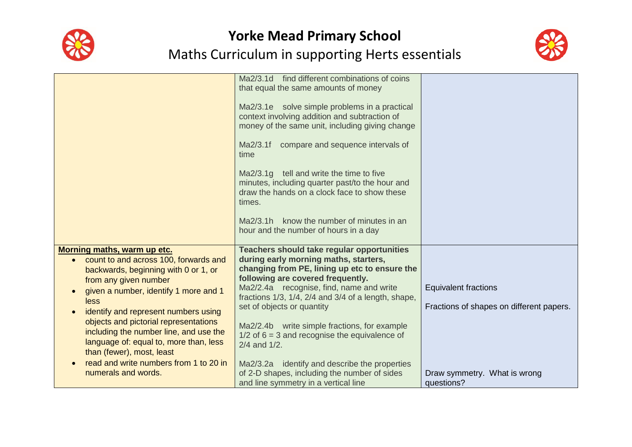



|                                                                                                                                                                                                                                                                                                                                                                                                                                                           | Ma2/3.1d find different combinations of coins<br>that equal the same amounts of money<br>Ma2/3.1e solve simple problems in a practical<br>context involving addition and subtraction of<br>money of the same unit, including giving change<br>compare and sequence intervals of<br>Ma2/3.1f<br>time<br>Ma2/3.1g tell and write the time to five<br>minutes, including quarter past/to the hour and<br>draw the hands on a clock face to show these<br>times.<br>Ma2/3.1h know the number of minutes in an<br>hour and the number of hours in a day                                 |                                                                                                                       |
|-----------------------------------------------------------------------------------------------------------------------------------------------------------------------------------------------------------------------------------------------------------------------------------------------------------------------------------------------------------------------------------------------------------------------------------------------------------|------------------------------------------------------------------------------------------------------------------------------------------------------------------------------------------------------------------------------------------------------------------------------------------------------------------------------------------------------------------------------------------------------------------------------------------------------------------------------------------------------------------------------------------------------------------------------------|-----------------------------------------------------------------------------------------------------------------------|
| Morning maths, warm up etc.<br>count to and across 100, forwards and<br>backwards, beginning with 0 or 1, or<br>from any given number<br>given a number, identify 1 more and 1<br>less<br>identify and represent numbers using<br>objects and pictorial representations<br>including the number line, and use the<br>language of: equal to, more than, less<br>than (fewer), most, least<br>read and write numbers from 1 to 20 in<br>numerals and words. | <b>Teachers should take regular opportunities</b><br>during early morning maths, starters,<br>changing from PE, lining up etc to ensure the<br>following are covered frequently.<br>Ma2/2.4a recognise, find, name and write<br>fractions 1/3, 1/4, 2/4 and 3/4 of a length, shape,<br>set of objects or quantity<br>Ma2/2.4b write simple fractions, for example<br>$1/2$ of 6 = 3 and recognise the equivalence of<br>$2/4$ and $1/2$ .<br>Ma2/3.2a identify and describe the properties<br>of 2-D shapes, including the number of sides<br>and line symmetry in a vertical line | <b>Equivalent fractions</b><br>Fractions of shapes on different papers.<br>Draw symmetry. What is wrong<br>questions? |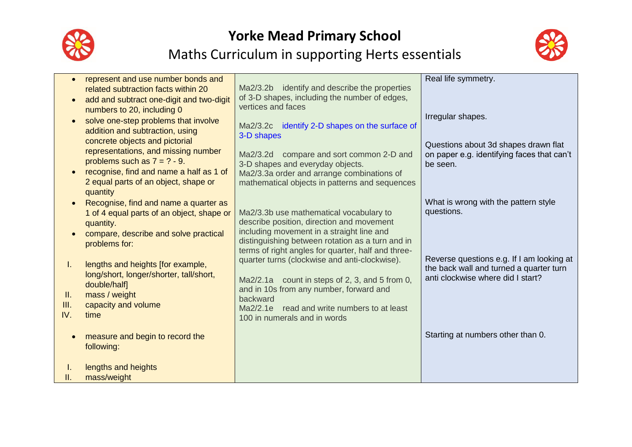



| Τ.<br>Ш.<br>III.<br>IV. | represent and use number bonds and<br>related subtraction facts within 20<br>add and subtract one-digit and two-digit<br>numbers to 20, including 0<br>solve one-step problems that involve<br>addition and subtraction, using<br>concrete objects and pictorial<br>representations, and missing number<br>problems such as $7 = ? - 9$ .<br>recognise, find and name a half as 1 of<br>2 equal parts of an object, shape or<br>quantity<br>Recognise, find and name a quarter as<br>1 of 4 equal parts of an object, shape or<br>quantity.<br>compare, describe and solve practical<br>problems for:<br>lengths and heights [for example,<br>long/short, longer/shorter, tall/short,<br>double/half]<br>mass / weight<br>capacity and volume<br>time | Ma2/3.2b identify and describe the properties<br>of 3-D shapes, including the number of edges,<br>vertices and faces<br>Ma2/3.2c identify 2-D shapes on the surface of<br>3-D shapes<br>compare and sort common 2-D and<br>Ma2/3.2d<br>3-D shapes and everyday objects.<br>Ma2/3.3a order and arrange combinations of<br>mathematical objects in patterns and sequences<br>Ma2/3.3b use mathematical vocabulary to<br>describe position, direction and movement<br>including movement in a straight line and<br>distinguishing between rotation as a turn and in<br>terms of right angles for quarter, half and three-<br>quarter turns (clockwise and anti-clockwise).<br>$Ma2/2.1a$ count in steps of 2, 3, and 5 from 0,<br>and in 10s from any number, forward and<br>backward<br>Ma2/2.1e read and write numbers to at least<br>100 in numerals and in words | Real life symmetry.<br>Irregular shapes.<br>Questions about 3d shapes drawn flat<br>on paper e.g. identifying faces that can't<br>be seen.<br>What is wrong with the pattern style<br>questions.<br>Reverse questions e.g. If I am looking at<br>the back wall and turned a quarter turn<br>anti clockwise where did I start? |
|-------------------------|-------------------------------------------------------------------------------------------------------------------------------------------------------------------------------------------------------------------------------------------------------------------------------------------------------------------------------------------------------------------------------------------------------------------------------------------------------------------------------------------------------------------------------------------------------------------------------------------------------------------------------------------------------------------------------------------------------------------------------------------------------|-------------------------------------------------------------------------------------------------------------------------------------------------------------------------------------------------------------------------------------------------------------------------------------------------------------------------------------------------------------------------------------------------------------------------------------------------------------------------------------------------------------------------------------------------------------------------------------------------------------------------------------------------------------------------------------------------------------------------------------------------------------------------------------------------------------------------------------------------------------------|-------------------------------------------------------------------------------------------------------------------------------------------------------------------------------------------------------------------------------------------------------------------------------------------------------------------------------|
|                         | measure and begin to record the<br>following:                                                                                                                                                                                                                                                                                                                                                                                                                                                                                                                                                                                                                                                                                                         |                                                                                                                                                                                                                                                                                                                                                                                                                                                                                                                                                                                                                                                                                                                                                                                                                                                                   | Starting at numbers other than 0.                                                                                                                                                                                                                                                                                             |
| Ш.                      | lengths and heights<br>mass/weight                                                                                                                                                                                                                                                                                                                                                                                                                                                                                                                                                                                                                                                                                                                    |                                                                                                                                                                                                                                                                                                                                                                                                                                                                                                                                                                                                                                                                                                                                                                                                                                                                   |                                                                                                                                                                                                                                                                                                                               |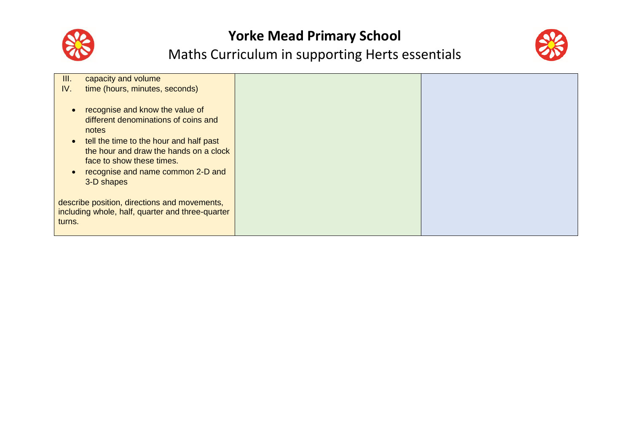



| III.      | capacity and volume                              |  |
|-----------|--------------------------------------------------|--|
| IV.       | time (hours, minutes, seconds)                   |  |
|           |                                                  |  |
| $\bullet$ | recognise and know the value of                  |  |
|           | different denominations of coins and             |  |
|           | notes                                            |  |
| $\bullet$ | tell the time to the hour and half past          |  |
|           | the hour and draw the hands on a clock           |  |
|           | face to show these times.                        |  |
|           |                                                  |  |
| $\bullet$ | recognise and name common 2-D and                |  |
|           | 3-D shapes                                       |  |
|           |                                                  |  |
|           | describe position, directions and movements,     |  |
|           | including whole, half, quarter and three-quarter |  |
| turns.    |                                                  |  |
|           |                                                  |  |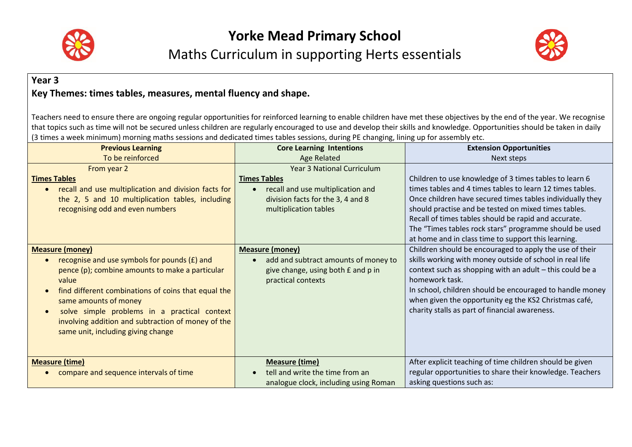



#### **Year 3 Key Themes: times tables, measures, mental fluency and shape.**

Teachers need to ensure there are ongoing regular opportunities for reinforced learning to enable children have met these objectives by the end of the year. We recognise that topics such as time will not be secured unless children are regularly encouraged to use and develop their skills and knowledge. Opportunities should be taken in daily (3 times a week minimum) morning maths sessions and dedicated times tables sessions, during PE changing, lining up for assembly etc.

| <b>Previous Learning</b>                                                                                                                                                                                                                                                                                                                                                                              | <b>Core Learning Intentions</b>                                                                                                                             | <b>Extension Opportunities</b>                                                                                                                                                                                                                                                                                                                                                                                    |
|-------------------------------------------------------------------------------------------------------------------------------------------------------------------------------------------------------------------------------------------------------------------------------------------------------------------------------------------------------------------------------------------------------|-------------------------------------------------------------------------------------------------------------------------------------------------------------|-------------------------------------------------------------------------------------------------------------------------------------------------------------------------------------------------------------------------------------------------------------------------------------------------------------------------------------------------------------------------------------------------------------------|
| To be reinforced                                                                                                                                                                                                                                                                                                                                                                                      | Age Related                                                                                                                                                 | Next steps                                                                                                                                                                                                                                                                                                                                                                                                        |
| From year 2<br><b>Times Tables</b><br>recall and use multiplication and division facts for<br>$\bullet$<br>the 2, 5 and 10 multiplication tables, including<br>recognising odd and even numbers                                                                                                                                                                                                       | <b>Year 3 National Curriculum</b><br><b>Times Tables</b><br>recall and use multiplication and<br>division facts for the 3, 4 and 8<br>multiplication tables | Children to use knowledge of 3 times tables to learn 6<br>times tables and 4 times tables to learn 12 times tables.<br>Once children have secured times tables individually they<br>should practise and be tested on mixed times tables.<br>Recall of times tables should be rapid and accurate.<br>The "Times tables rock stars" programme should be used<br>at home and in class time to support this learning. |
| <b>Measure (money)</b><br>recognise and use symbols for pounds (£) and<br>$\bullet$<br>pence (p); combine amounts to make a particular<br>value<br>find different combinations of coins that equal the<br>$\bullet$<br>same amounts of money<br>solve simple problems in a practical context<br>$\bullet$<br>involving addition and subtraction of money of the<br>same unit, including giving change | <b>Measure (money)</b><br>add and subtract amounts of money to<br>give change, using both £ and p in<br>practical contexts                                  | Children should be encouraged to apply the use of their<br>skills working with money outside of school in real life<br>context such as shopping with an adult - this could be a<br>homework task.<br>In school, children should be encouraged to handle money<br>when given the opportunity eg the KS2 Christmas café,<br>charity stalls as part of financial awareness.                                          |
| <b>Measure (time)</b><br>compare and sequence intervals of time                                                                                                                                                                                                                                                                                                                                       | <b>Measure (time)</b><br>tell and write the time from an<br>analogue clock, including using Roman                                                           | After explicit teaching of time children should be given<br>regular opportunities to share their knowledge. Teachers<br>asking questions such as:                                                                                                                                                                                                                                                                 |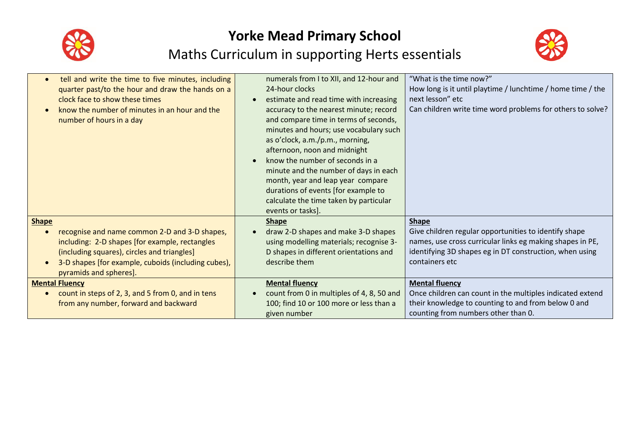



| tell and write the time to five minutes, including<br>quarter past/to the hour and draw the hands on a<br>clock face to show these times<br>know the number of minutes in an hour and the<br>number of hours in a day                           | numerals from I to XII, and 12-hour and<br>24-hour clocks<br>estimate and read time with increasing<br>$\bullet$<br>accuracy to the nearest minute; record<br>and compare time in terms of seconds,<br>minutes and hours; use vocabulary such<br>as o'clock, a.m./p.m., morning,<br>afternoon, noon and midnight<br>know the number of seconds in a<br>$\bullet$<br>minute and the number of days in each<br>month, year and leap year compare<br>durations of events [for example to | "What is the time now?"<br>How long is it until playtime / lunchtime / home time / the<br>next lesson" etc<br>Can children write time word problems for others to solve?                                        |
|-------------------------------------------------------------------------------------------------------------------------------------------------------------------------------------------------------------------------------------------------|---------------------------------------------------------------------------------------------------------------------------------------------------------------------------------------------------------------------------------------------------------------------------------------------------------------------------------------------------------------------------------------------------------------------------------------------------------------------------------------|-----------------------------------------------------------------------------------------------------------------------------------------------------------------------------------------------------------------|
| <b>Shape</b><br>recognise and name common 2-D and 3-D shapes,<br>including: 2-D shapes [for example, rectangles<br>(including squares), circles and triangles]<br>3-D shapes [for example, cuboids (including cubes),<br>pyramids and spheres]. | calculate the time taken by particular<br>events or tasks].<br><b>Shape</b><br>draw 2-D shapes and make 3-D shapes<br>using modelling materials; recognise 3-<br>D shapes in different orientations and<br>describe them                                                                                                                                                                                                                                                              | <b>Shape</b><br>Give children regular opportunities to identify shape<br>names, use cross curricular links eg making shapes in PE,<br>identifying 3D shapes eg in DT construction, when using<br>containers etc |
| <b>Mental Fluency</b><br>count in steps of 2, 3, and 5 from 0, and in tens<br>from any number, forward and backward                                                                                                                             | <b>Mental fluency</b><br>count from 0 in multiples of 4, 8, 50 and<br>100; find 10 or 100 more or less than a<br>given number                                                                                                                                                                                                                                                                                                                                                         | <b>Mental fluency</b><br>Once children can count in the multiples indicated extend<br>their knowledge to counting to and from below 0 and<br>counting from numbers other than 0.                                |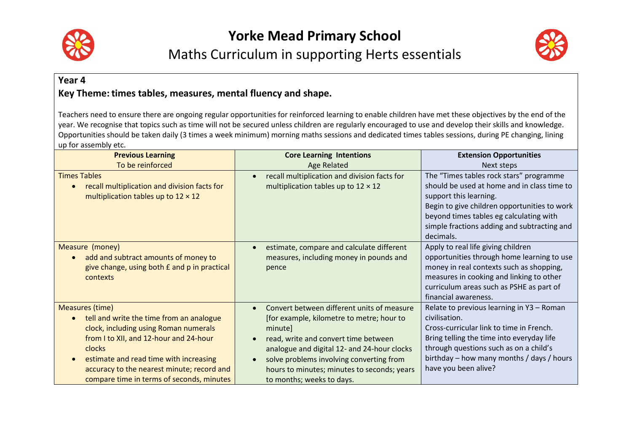



#### **Year 4** Key Theme: times tables, measures, mental fluency and shape.

Teachers need to ensure there are ongoing regular opportunities for reinforced learning to enable children have met these objectives by the end of the year. We recognise that topics such as time will not be secured unless children are regularly encouraged to use and develop their skills and knowledge. Opportunities should be taken daily (3 times a week minimum) morning maths sessions and dedicated times tables sessions, during PE changing, lining up for assembly etc.

| <b>Previous Learning</b>                                                                                                                                                                                                                                                                                          | <b>Core Learning Intentions</b>                                                                                                                                                                                                                                                                                                                          | <b>Extension Opportunities</b>                                                                                                                                                                                                                                          |
|-------------------------------------------------------------------------------------------------------------------------------------------------------------------------------------------------------------------------------------------------------------------------------------------------------------------|----------------------------------------------------------------------------------------------------------------------------------------------------------------------------------------------------------------------------------------------------------------------------------------------------------------------------------------------------------|-------------------------------------------------------------------------------------------------------------------------------------------------------------------------------------------------------------------------------------------------------------------------|
| To be reinforced                                                                                                                                                                                                                                                                                                  | <b>Age Related</b>                                                                                                                                                                                                                                                                                                                                       | Next steps                                                                                                                                                                                                                                                              |
| <b>Times Tables</b><br>recall multiplication and division facts for<br>multiplication tables up to $12 \times 12$                                                                                                                                                                                                 | recall multiplication and division facts for<br>$\bullet$<br>multiplication tables up to $12 \times 12$                                                                                                                                                                                                                                                  | The "Times tables rock stars" programme<br>should be used at home and in class time to<br>support this learning.<br>Begin to give children opportunities to work<br>beyond times tables eg calculating with<br>simple fractions adding and subtracting and<br>decimals. |
| Measure (money)<br>add and subtract amounts of money to<br>give change, using both £ and p in practical<br>contexts                                                                                                                                                                                               | estimate, compare and calculate different<br>measures, including money in pounds and<br>pence                                                                                                                                                                                                                                                            | Apply to real life giving children<br>opportunities through home learning to use<br>money in real contexts such as shopping,<br>measures in cooking and linking to other<br>curriculum areas such as PSHE as part of<br>financial awareness.                            |
| <b>Measures (time)</b><br>tell and write the time from an analogue<br>$\bullet$<br>clock, including using Roman numerals<br>from I to XII, and 12-hour and 24-hour<br>clocks<br>estimate and read time with increasing<br>accuracy to the nearest minute; record and<br>compare time in terms of seconds, minutes | Convert between different units of measure<br>$\bullet$<br>[for example, kilometre to metre; hour to<br>minute]<br>read, write and convert time between<br>$\bullet$<br>analogue and digital 12- and 24-hour clocks<br>solve problems involving converting from<br>$\bullet$<br>hours to minutes; minutes to seconds; years<br>to months; weeks to days. | Relate to previous learning in Y3 - Roman<br>civilisation.<br>Cross-curricular link to time in French.<br>Bring telling the time into everyday life<br>through questions such as on a child's<br>birthday – how many months / days / hours<br>have you been alive?      |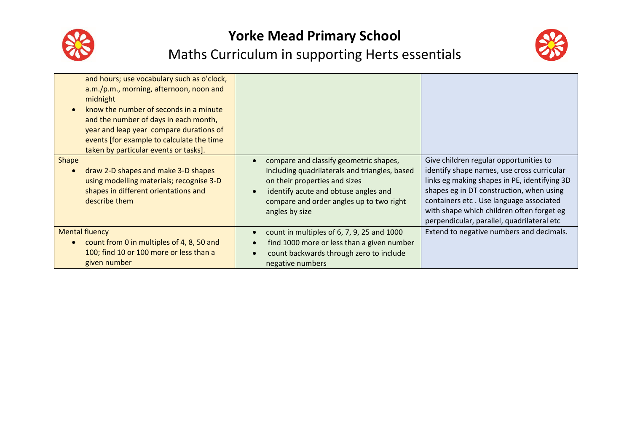



| and hours; use vocabulary such as o'clock,<br>a.m./p.m., morning, afternoon, noon and<br>midnight<br>know the number of seconds in a minute<br>and the number of days in each month,<br>year and leap year compare durations of<br>events [for example to calculate the time<br>taken by particular events or tasks]. |                                                                                                                                                                                                                                                          |                                                                                                                                                                                                                                                                                                                        |
|-----------------------------------------------------------------------------------------------------------------------------------------------------------------------------------------------------------------------------------------------------------------------------------------------------------------------|----------------------------------------------------------------------------------------------------------------------------------------------------------------------------------------------------------------------------------------------------------|------------------------------------------------------------------------------------------------------------------------------------------------------------------------------------------------------------------------------------------------------------------------------------------------------------------------|
| Shape<br>draw 2-D shapes and make 3-D shapes<br>using modelling materials; recognise 3-D<br>shapes in different orientations and<br>describe them                                                                                                                                                                     | compare and classify geometric shapes,<br>$\bullet$<br>including quadrilaterals and triangles, based<br>on their properties and sizes<br>identify acute and obtuse angles and<br>$\bullet$<br>compare and order angles up to two right<br>angles by size | Give children regular opportunities to<br>identify shape names, use cross curricular<br>links eg making shapes in PE, identifying 3D<br>shapes eg in DT construction, when using<br>containers etc. Use language associated<br>with shape which children often forget eg<br>perpendicular, parallel, quadrilateral etc |
| <b>Mental fluency</b><br>count from 0 in multiples of 4, 8, 50 and<br>100; find 10 or 100 more or less than a<br>given number                                                                                                                                                                                         | count in multiples of 6, 7, 9, 25 and 1000<br>$\bullet$<br>find 1000 more or less than a given number<br>$\bullet$<br>count backwards through zero to include<br>negative numbers                                                                        | Extend to negative numbers and decimals.                                                                                                                                                                                                                                                                               |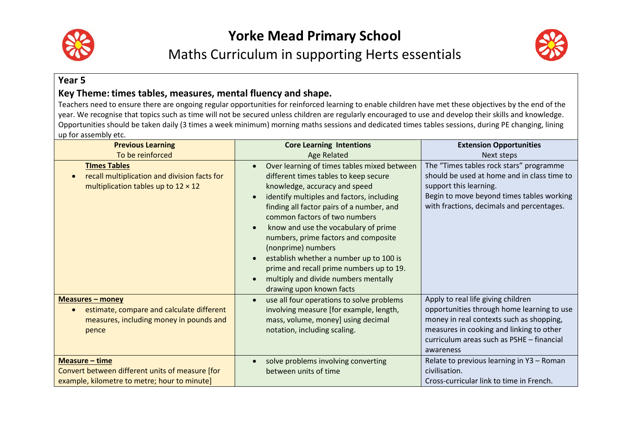



#### **Year 5**

#### Key Theme: times tables, measures, mental fluency and shape.

Teachers need to ensure there are ongoing regular opportunities for reinforced learning to enable children have met these objectives by the end of the year. We recognise that topics such as time will not be secured unless children are regularly encouraged to use and develop their skills and knowledge. Opportunities should be taken daily (3 times a week minimum) morning maths sessions and dedicated times tables sessions, during PE changing, lining up for assembly etc.

| <b>Previous Learning</b>                                                                                                                                       | <b>Core Learning Intentions</b>                                                                                                                                                                                                                                                                                                                                                                                                                                                                                                                                                    | <b>Extension Opportunities</b>                                                                                                                                                                                                     |
|----------------------------------------------------------------------------------------------------------------------------------------------------------------|------------------------------------------------------------------------------------------------------------------------------------------------------------------------------------------------------------------------------------------------------------------------------------------------------------------------------------------------------------------------------------------------------------------------------------------------------------------------------------------------------------------------------------------------------------------------------------|------------------------------------------------------------------------------------------------------------------------------------------------------------------------------------------------------------------------------------|
| To be reinforced                                                                                                                                               | <b>Age Related</b>                                                                                                                                                                                                                                                                                                                                                                                                                                                                                                                                                                 | Next steps                                                                                                                                                                                                                         |
| <b>Times Tables</b><br>recall multiplication and division facts for<br>multiplication tables up to $12 \times 12$                                              | Over learning of times tables mixed between<br>$\bullet$<br>different times tables to keep secure<br>knowledge, accuracy and speed<br>identify multiples and factors, including<br>$\bullet$<br>finding all factor pairs of a number, and<br>common factors of two numbers<br>know and use the vocabulary of prime<br>$\bullet$<br>numbers, prime factors and composite<br>(nonprime) numbers<br>establish whether a number up to 100 is<br>$\bullet$<br>prime and recall prime numbers up to 19.<br>multiply and divide numbers mentally<br>$\bullet$<br>drawing upon known facts | The "Times tables rock stars" programme<br>should be used at home and in class time to<br>support this learning.<br>Begin to move beyond times tables working<br>with fractions, decimals and percentages.                         |
| <b>Measures - money</b><br>estimate, compare and calculate different<br>$\bullet$<br>measures, including money in pounds and<br>pence<br><b>Measure - time</b> | use all four operations to solve problems<br>$\bullet$<br>involving measure [for example, length,<br>mass, volume, money] using decimal<br>notation, including scaling.                                                                                                                                                                                                                                                                                                                                                                                                            | Apply to real life giving children<br>opportunities through home learning to use<br>money in real contexts such as shopping,<br>measures in cooking and linking to other<br>curriculum areas such as PSHE - financial<br>awareness |
| Convert between different units of measure [for<br>example, kilometre to metre; hour to minute]                                                                | solve problems involving converting<br>$\bullet$<br>between units of time                                                                                                                                                                                                                                                                                                                                                                                                                                                                                                          | Relate to previous learning in Y3 - Roman<br>civilisation.<br>Cross-curricular link to time in French.                                                                                                                             |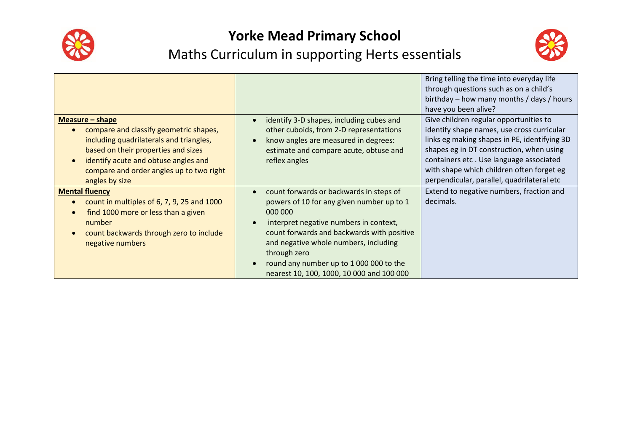



|                                                                                                                                                                                                                                                     |                                                                                                                                                                                                                                                                                                                                                                                 | Bring telling the time into everyday life<br>through questions such as on a child's<br>birthday – how many months / days / hours<br>have you been alive?                                                                                                                                                               |
|-----------------------------------------------------------------------------------------------------------------------------------------------------------------------------------------------------------------------------------------------------|---------------------------------------------------------------------------------------------------------------------------------------------------------------------------------------------------------------------------------------------------------------------------------------------------------------------------------------------------------------------------------|------------------------------------------------------------------------------------------------------------------------------------------------------------------------------------------------------------------------------------------------------------------------------------------------------------------------|
| Measure $-$ shape<br>compare and classify geometric shapes,<br>including quadrilaterals and triangles,<br>based on their properties and sizes<br>identify acute and obtuse angles and<br>compare and order angles up to two right<br>angles by size | identify 3-D shapes, including cubes and<br>$\bullet$<br>other cuboids, from 2-D representations<br>know angles are measured in degrees:<br>$\bullet$<br>estimate and compare acute, obtuse and<br>reflex angles                                                                                                                                                                | Give children regular opportunities to<br>identify shape names, use cross curricular<br>links eg making shapes in PE, identifying 3D<br>shapes eg in DT construction, when using<br>containers etc. Use language associated<br>with shape which children often forget eg<br>perpendicular, parallel, quadrilateral etc |
| <b>Mental fluency</b><br>count in multiples of 6, 7, 9, 25 and 1000<br>find 1000 more or less than a given<br>number<br>count backwards through zero to include<br>negative numbers                                                                 | count forwards or backwards in steps of<br>$\bullet$<br>powers of 10 for any given number up to 1<br>000 000<br>interpret negative numbers in context,<br>$\bullet$<br>count forwards and backwards with positive<br>and negative whole numbers, including<br>through zero<br>round any number up to 1 000 000 to the<br>$\bullet$<br>nearest 10, 100, 1000, 10 000 and 100 000 | Extend to negative numbers, fraction and<br>decimals.                                                                                                                                                                                                                                                                  |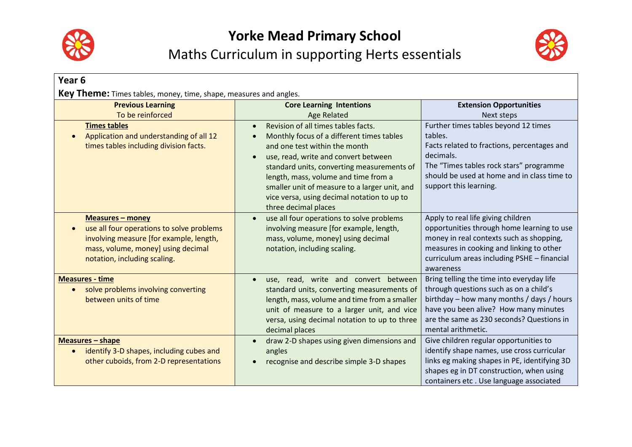



| Year <sub>6</sub>                                                                                                                                                                                                             |                                                                                                                                                                                                                                                                                                                                                                                                                                                            |                                                                                                                                                                                                                                                                                 |
|-------------------------------------------------------------------------------------------------------------------------------------------------------------------------------------------------------------------------------|------------------------------------------------------------------------------------------------------------------------------------------------------------------------------------------------------------------------------------------------------------------------------------------------------------------------------------------------------------------------------------------------------------------------------------------------------------|---------------------------------------------------------------------------------------------------------------------------------------------------------------------------------------------------------------------------------------------------------------------------------|
| Key Theme: Times tables, money, time, shape, measures and angles.<br><b>Previous Learning</b><br>To be reinforced<br><b>Times tables</b><br>Application and understanding of all 12<br>times tables including division facts. | <b>Core Learning Intentions</b><br><b>Age Related</b><br>Revision of all times tables facts.<br>$\bullet$<br>Monthly focus of a different times tables<br>and one test within the month<br>use, read, write and convert between<br>$\bullet$<br>standard units, converting measurements of<br>length, mass, volume and time from a<br>smaller unit of measure to a larger unit, and<br>vice versa, using decimal notation to up to<br>three decimal places | <b>Extension Opportunities</b><br>Next steps<br>Further times tables beyond 12 times<br>tables.<br>Facts related to fractions, percentages and<br>decimals.<br>The "Times tables rock stars" programme<br>should be used at home and in class time to<br>support this learning. |
| <b>Measures - money</b><br>use all four operations to solve problems<br>involving measure [for example, length,<br>mass, volume, money] using decimal<br>notation, including scaling.                                         | use all four operations to solve problems<br>$\bullet$<br>involving measure [for example, length,<br>mass, volume, money] using decimal<br>notation, including scaling.                                                                                                                                                                                                                                                                                    | Apply to real life giving children<br>opportunities through home learning to use<br>money in real contexts such as shopping,<br>measures in cooking and linking to other<br>curriculum areas including PSHE - financial<br>awareness                                            |
| <b>Measures - time</b><br>solve problems involving converting<br>$\bullet$<br>between units of time                                                                                                                           | use, read, write and convert between<br>$\bullet$<br>standard units, converting measurements of<br>length, mass, volume and time from a smaller<br>unit of measure to a larger unit, and vice<br>versa, using decimal notation to up to three<br>decimal places                                                                                                                                                                                            | Bring telling the time into everyday life<br>through questions such as on a child's<br>birthday – how many months / days / hours<br>have you been alive? How many minutes<br>are the same as 230 seconds? Questions in<br>mental arithmetic.                                    |
| <b>Measures - shape</b><br>identify 3-D shapes, including cubes and<br>other cuboids, from 2-D representations                                                                                                                | draw 2-D shapes using given dimensions and<br>angles<br>recognise and describe simple 3-D shapes                                                                                                                                                                                                                                                                                                                                                           | Give children regular opportunities to<br>identify shape names, use cross curricular<br>links eg making shapes in PE, identifying 3D<br>shapes eg in DT construction, when using<br>containers etc. Use language associated                                                     |